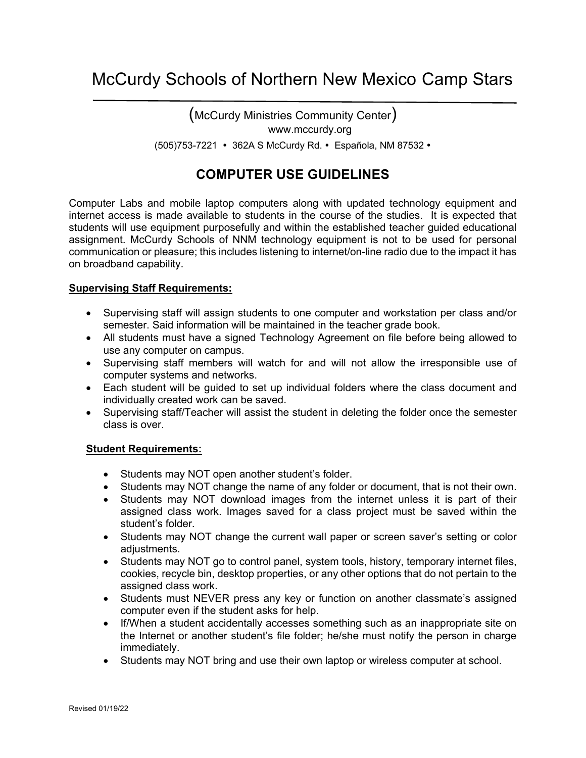# McCurdy Schools of Northern New Mexico Camp Stars

(McCurdy Ministries Community Center) www.mccurdy.org (505)753-7221 362A S McCurdy Rd. Española, NM 87532

### **COMPUTER USE GUIDELINES**

Computer Labs and mobile laptop computers along with updated technology equipment and internet access is made available to students in the course of the studies. It is expected that students will use equipment purposefully and within the established teacher guided educational assignment. McCurdy Schools of NNM technology equipment is not to be used for personal communication or pleasure; this includes listening to internet/on-line radio due to the impact it has on broadband capability.

#### **Supervising Staff Requirements:**

- Supervising staff will assign students to one computer and workstation per class and/or semester. Said information will be maintained in the teacher grade book.
- All students must have a signed Technology Agreement on file before being allowed to use any computer on campus.
- Supervising staff members will watch for and will not allow the irresponsible use of computer systems and networks.
- Each student will be guided to set up individual folders where the class document and individually created work can be saved.
- Supervising staff/Teacher will assist the student in deleting the folder once the semester class is over.

#### **Student Requirements:**

- Students may NOT open another student's folder.
- Students may NOT change the name of any folder or document, that is not their own.
- Students may NOT download images from the internet unless it is part of their assigned class work. Images saved for a class project must be saved within the student's folder.
- Students may NOT change the current wall paper or screen saver's setting or color adjustments.
- Students may NOT go to control panel, system tools, history, temporary internet files, cookies, recycle bin, desktop properties, or any other options that do not pertain to the assigned class work.
- Students must NEVER press any key or function on another classmate's assigned computer even if the student asks for help.
- If/When a student accidentally accesses something such as an inappropriate site on the Internet or another student's file folder; he/she must notify the person in charge immediately.
- Students may NOT bring and use their own laptop or wireless computer at school.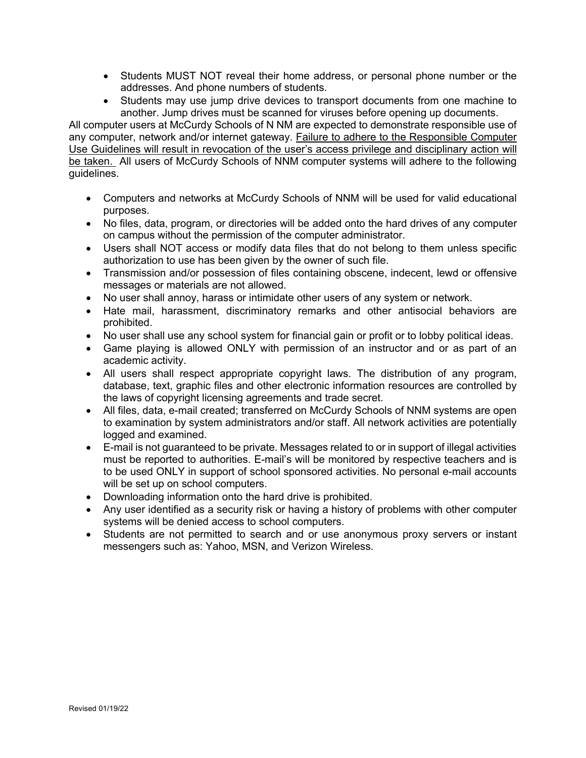- Students MUST NOT reveal their home address, or personal phone number or the addresses. And phone numbers of students.
- Students may use jump drive devices to transport documents from one machine to another. Jump drives must be scanned for viruses before opening up documents.

All computer users at McCurdy Schools of N NM are expected to demonstrate responsible use of any computer, network and/or internet gateway. Failure to adhere to the Responsible Computer Use Guidelines will result in revocation of the user's access privilege and disciplinary action will be taken. All users of McCurdy Schools of NNM computer systems will adhere to the following guidelines.

- Computers and networks at McCurdy Schools of NNM will be used for valid educational purposes.
- No files, data, program, or directories will be added onto the hard drives of any computer on campus without the permission of the computer administrator.
- Users shall NOT access or modify data files that do not belong to them unless specific authorization to use has been given by the owner of such file.
- Transmission and/or possession of files containing obscene, indecent, lewd or offensive messages or materials are not allowed.
- No user shall annoy, harass or intimidate other users of any system or network.
- Hate mail, harassment, discriminatory remarks and other antisocial behaviors are prohibited.
- No user shall use any school system for financial gain or profit or to lobby political ideas.
- Game playing is allowed ONLY with permission of an instructor and or as part of an academic activity.
- All users shall respect appropriate copyright laws. The distribution of any program, database, text, graphic files and other electronic information resources are controlled by the laws of copyright licensing agreements and trade secret.
- All files, data, e-mail created; transferred on McCurdy Schools of NNM systems are open to examination by system administrators and/or staff. All network activities are potentially logged and examined.
- E-mail is not guaranteed to be private. Messages related to or in support of illegal activities must be reported to authorities. E-mail's will be monitored by respective teachers and is to be used ONLY in support of school sponsored activities. No personal e-mail accounts will be set up on school computers.
- Downloading information onto the hard drive is prohibited.
- Any user identified as a security risk or having a history of problems with other computer systems will be denied access to school computers.
- Students are not permitted to search and or use anonymous proxy servers or instant messengers such as: Yahoo, MSN, and Verizon Wireless.